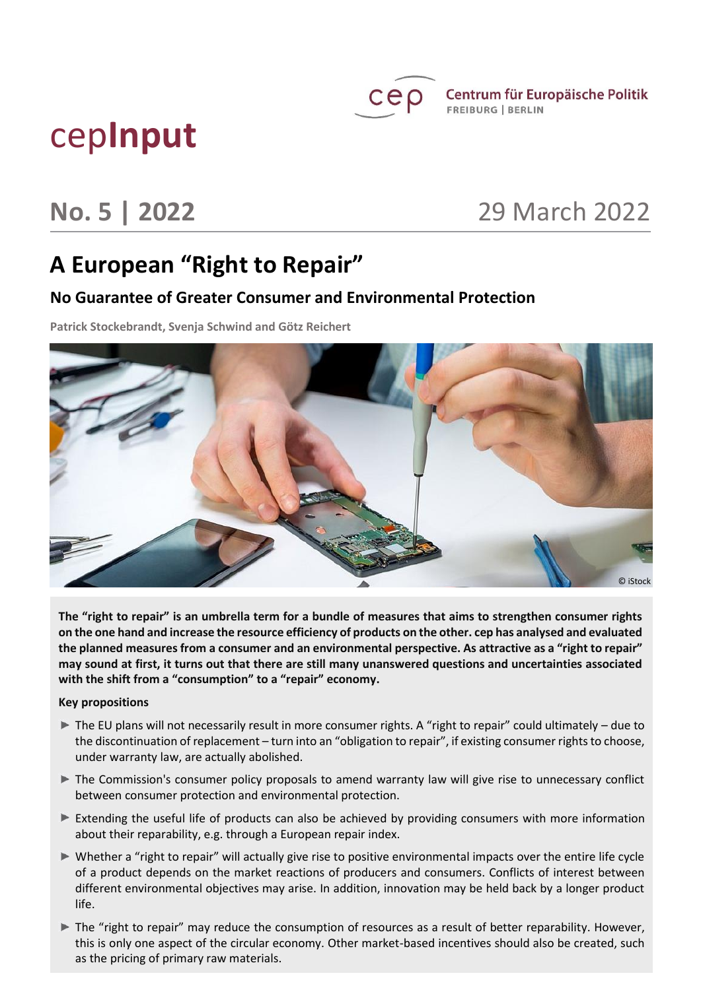

 $\mathsf{C}\mathsf{e}\rho$  Centrum für Europäische Politik **FREIBURG | BERLIN** 

# cep**Input**

# **No. 5 | 2022** 29 March 2022

# **A European "Right to Repair"**

# **No Guarantee of Greater Consumer and Environmental Protection**

**Patrick Stockebrandt, Svenja Schwind and Götz Reichert**



**The "right to repair" is an umbrella term for a bundle of measures that aims to strengthen consumer rights on the one hand and increase the resource efficiency of products on the other. cep has analysed and evaluated the planned measures from a consumer and an environmental perspective. As attractive as a "right to repair" may sound at first, it turns out that there are still many unanswered questions and uncertainties associated with the shift from a "consumption" to a "repair" economy.** 

#### **Key propositions**

- The EU plans will not necessarily result in more consumer rights. A "right to repair" could ultimately due to the discontinuation of replacement – turn into an "obligation to repair", if existing consumer rights to choose, under warranty law, are actually abolished.
- The Commission's consumer policy proposals to amend warranty law will give rise to unnecessary conflict between consumer protection and environmental protection.
- Extending the useful life of products can also be achieved by providing consumers with more information about their reparability, e.g. through a European repair index.
- Whether a "right to repair" will actually give rise to positive environmental impacts over the entire life cycle of a product depends on the market reactions of producers and consumers. Conflicts of interest between different environmental objectives may arise. In addition, innovation may be held back by a longer product life.
- The "right to repair" may reduce the consumption of resources as a result of better reparability. However, this is only one aspect of the circular economy. Other market-based incentives should also be created, such as the pricing of primary raw materials.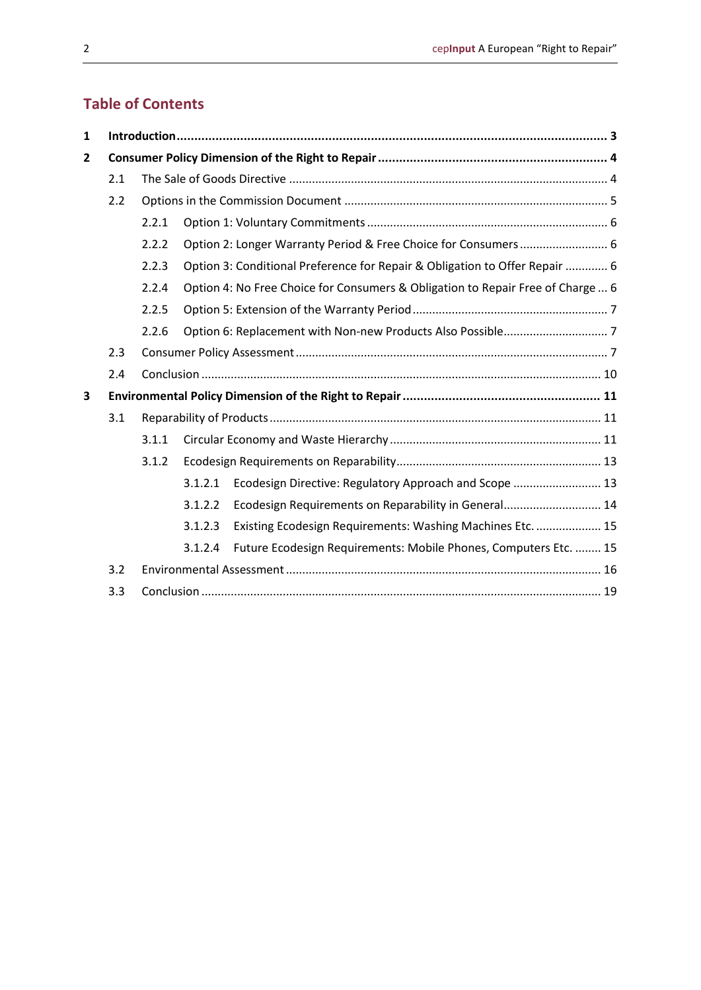# **Table of Contents**

| $\mathbf{1}$ |     |       |         |                                                                                 |  |
|--------------|-----|-------|---------|---------------------------------------------------------------------------------|--|
| $\mathbf{2}$ |     |       |         |                                                                                 |  |
|              | 2.1 |       |         |                                                                                 |  |
|              | 2.2 |       |         |                                                                                 |  |
|              |     | 2.2.1 |         |                                                                                 |  |
|              |     | 2.2.2 |         | Option 2: Longer Warranty Period & Free Choice for Consumers 6                  |  |
|              |     | 2.2.3 |         | Option 3: Conditional Preference for Repair & Obligation to Offer Repair  6     |  |
|              |     | 2.2.4 |         | Option 4: No Free Choice for Consumers & Obligation to Repair Free of Charge  6 |  |
|              |     | 2.2.5 |         |                                                                                 |  |
|              |     | 2.2.6 |         |                                                                                 |  |
|              | 2.3 |       |         |                                                                                 |  |
|              | 2.4 |       |         |                                                                                 |  |
| 3            |     |       |         |                                                                                 |  |
|              | 3.1 |       |         |                                                                                 |  |
|              |     | 3.1.1 |         |                                                                                 |  |
|              |     | 3.1.2 |         |                                                                                 |  |
|              |     |       | 3.1.2.1 | Ecodesign Directive: Regulatory Approach and Scope  13                          |  |
|              |     |       | 3.1.2.2 | Ecodesign Requirements on Reparability in General 14                            |  |
|              |     |       | 3.1.2.3 | Existing Ecodesign Requirements: Washing Machines Etc.  15                      |  |
|              |     |       | 3.1.2.4 | Future Ecodesign Requirements: Mobile Phones, Computers Etc.  15                |  |
|              | 3.2 |       |         |                                                                                 |  |
|              | 3.3 |       |         |                                                                                 |  |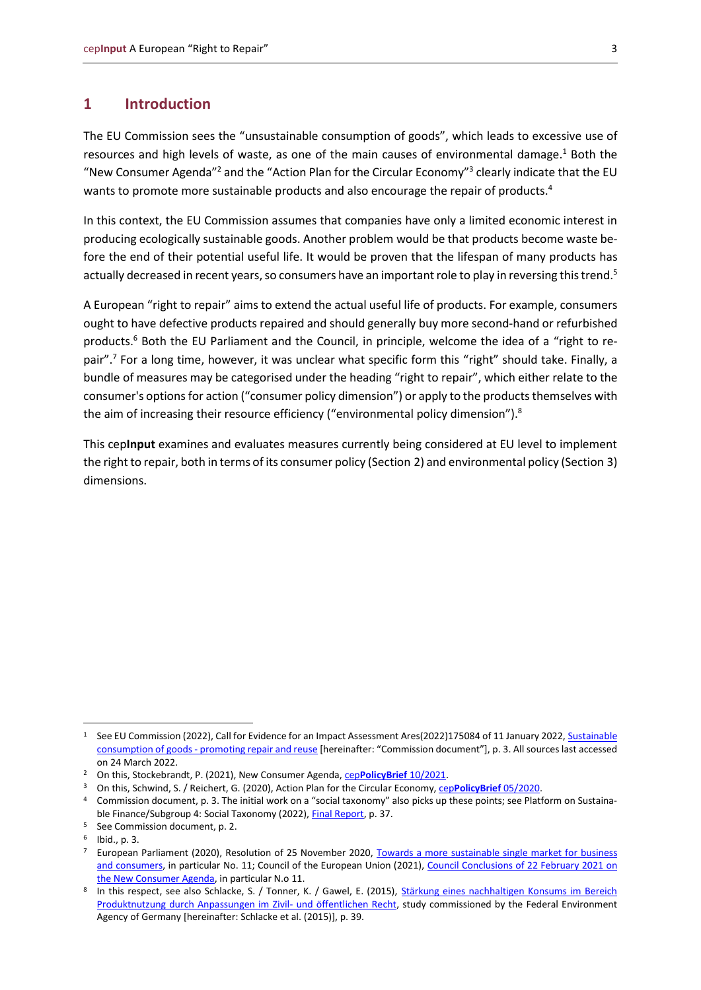### <span id="page-2-0"></span>**1 Introduction**

The EU Commission sees the "unsustainable consumption of goods", which leads to excessive use of resources and high levels of waste, as one of the main causes of environmental damage. $1$  Both the "New Consumer Agenda"<sup>2</sup> and the "Action Plan for the Circular Economy"<sup>3</sup> clearly indicate that the EU wants to promote more sustainable products and also encourage the repair of products.<sup>4</sup>

In this context, the EU Commission assumes that companies have only a limited economic interest in producing ecologically sustainable goods. Another problem would be that products become waste before the end of their potential useful life. It would be proven that the lifespan of many products has actually decreased in recent years, so consumers have an important role to play in reversing this trend.<sup>5</sup>

A European "right to repair" aims to extend the actual useful life of products. For example, consumers ought to have defective products repaired and should generally buy more second-hand or refurbished products.<sup>6</sup> Both the EU Parliament and the Council, in principle, welcome the idea of a "right to repair".<sup>7</sup> For a long time, however, it was unclear what specific form this "right" should take. Finally, a bundle of measures may be categorised under the heading "right to repair", which either relate to the consumer's options for action ("consumer policy dimension") or apply to the products themselves with the aim of increasing their resource efficiency ("environmental policy dimension").<sup>8</sup>

This cep**Input** examines and evaluates measures currently being considered at EU level to implement the right to repair, both in terms of its consumer policy (Section 2) and environmental policy (Section 3) dimensions.

<sup>1</sup> See EU Commission (2022), Call for Evidence for an Impact Assessment Ares(2022)175084 of 11 January 2022[, Sustainable](https://ec.europa.eu/info/law/better-regulation/have-your-say/initiatives/13150-Sustainable-consumption-of-goods-promoting-repair-and-reuse_en)  consumption of goods - [promoting repair and reuse](https://ec.europa.eu/info/law/better-regulation/have-your-say/initiatives/13150-Sustainable-consumption-of-goods-promoting-repair-and-reuse_en) [hereinafter: "Commission document"], p. 3. All sources last accessed on 24 March 2022.

<sup>&</sup>lt;sup>2</sup> On this, Stockebrandt, P. (2021), New Consumer Agenda, cep[PolicyBrief](https://www.cep.eu/fileadmin/user_upload/cep.eu/Analysen/COM_2020_696_Neue_Verbraucheragenda/cepPolicyBrief_New_Consumer_Agenda_COM_2020_696.pdf) 10/2021.

<sup>3</sup> On this, Schwind, S. / Reichert, G. (2020), Action Plan for the Circular Economy, cep**[PolicyBrief](https://www.cep.eu/en/eu-topics/details/cep/action-plan-for-the-circular-economy-ceppolicybrief-on-communication-com2020-98.html)** 05/2020.

<sup>4</sup> Commission document, p. 3. The initial work on a "social taxonomy" also picks up these points; see Platform on Sustaina-ble Finance/Subgroup 4: Social Taxonomy (2022)[, Final Report,](https://ec.europa.eu/info/sites/default/files/business_economy_euro/banking_and_finance/documents/280222-sustainable-finance-platform-finance-report-social-taxonomy.pdf) p. 37.

<sup>5</sup> See Commission document, p. 2.

<sup>6</sup> Ibid., p. 3.

<sup>7</sup> European Parliament (2020), Resolution of 25 November 2020, Towards a more [sustainable single market for business](https://www.europarl.europa.eu/doceo/document/TA-9-2020-0318_EN.pdf)  [and consumers,](https://www.europarl.europa.eu/doceo/document/TA-9-2020-0318_EN.pdf) in particular No. 11; Council of the European Union (2021), Council Conclusions of 22 February 2021 on [the New Consumer Agenda,](https://data.consilium.europa.eu/doc/document/ST-6364-2021-INIT/en/pdf) in particular N.o 11.

<sup>&</sup>lt;sup>8</sup> In this respect, see also Schlacke, S. / Tonner, K. / Gawel, E. (2015), <u>Stärkung eines nachhaltigen Konsums im Bereich</u> [Produktnutzung durch Anpassungen im Zivil-](https://www.umweltbundesamt.de/sites/default/files/medien/378/publikationen/texte_72_2015_staerkung_eines_nachhaltigen_konsums_im_bereich_produktnutzung_0.pdf) und öffentlichen Recht, study commissioned by the Federal Environment Agency of Germany [hereinafter: Schlacke et al. (2015)], p. 39.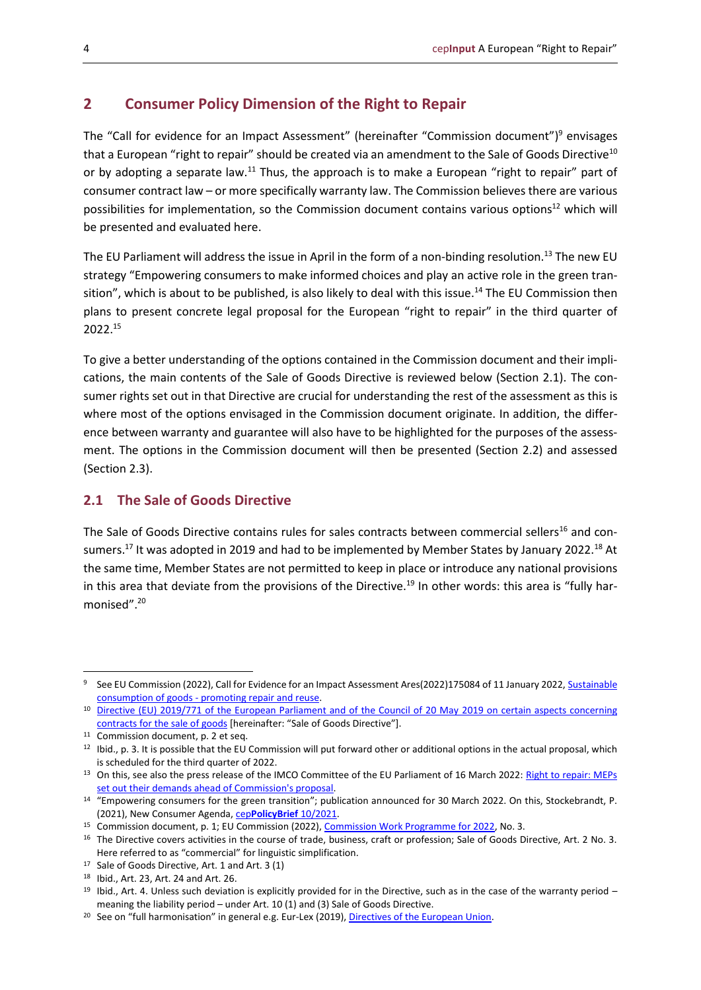# <span id="page-3-0"></span>**2 Consumer Policy Dimension of the Right to Repair**

The "Call for evidence for an Impact Assessment" (hereinafter "Commission document")<sup>9</sup> envisages that a European "right to repair" should be created via an amendment to the Sale of Goods Directive<sup>10</sup> or by adopting a separate law.<sup>11</sup> Thus, the approach is to make a European "right to repair" part of consumer contract law – or more specifically warranty law. The Commission believes there are various possibilities for implementation, so the Commission document contains various options<sup>12</sup> which will be presented and evaluated here.

The EU Parliament will address the issue in April in the form of a non-binding resolution.<sup>13</sup> The new EU strategy "Empowering consumers to make informed choices and play an active role in the green transition", which is about to be published, is also likely to deal with this issue.<sup>14</sup> The EU Commission then plans to present concrete legal proposal for the European "right to repair" in the third quarter of 2022.<sup>15</sup>

To give a better understanding of the options contained in the Commission document and their implications, the main contents of the Sale of Goods Directive is reviewed below (Section 2.1). The consumer rights set out in that Directive are crucial for understanding the rest of the assessment as this is where most of the options envisaged in the Commission document originate. In addition, the difference between warranty and guarantee will also have to be highlighted for the purposes of the assessment. The options in the Commission document will then be presented (Section 2.2) and assessed (Section 2.3).

# <span id="page-3-1"></span>**2.1 The Sale of Goods Directive**

The Sale of Goods Directive contains rules for sales contracts between commercial sellers<sup>16</sup> and consumers.<sup>17</sup> It was adopted in 2019 and had to be implemented by Member States by January 2022.<sup>18</sup> At the same time, Member States are not permitted to keep in place or introduce any national provisions in this area that deviate from the provisions of the Directive.<sup>19</sup> In other words: this area is "fully harmonised".<sup>20</sup>

<sup>&</sup>lt;sup>9</sup> See EU Commission (2022), Call for Evidence for an Impact Assessment Ares(2022)175084 of 11 January 2022, Sustainable consumption of goods - [promoting repair and reuse.](https://ec.europa.eu/info/law/better-regulation/have-your-say/initiatives/13150-Sustainable-consumption-of-goods-promoting-repair-and-reuse_en)

<sup>10</sup> [Directive \(EU\) 2019/771 of the European Parliament and of the Council of 20 May 2019 on certain aspects concerning](https://eur-lex.europa.eu/legal-content/EN/TXT/PDF/?uri=CELEX:32019L0771&from=EN)  [contracts for the sale of goods](https://eur-lex.europa.eu/legal-content/EN/TXT/PDF/?uri=CELEX:32019L0771&from=EN) [hereinafter: "Sale of Goods Directive"].

<sup>&</sup>lt;sup>11</sup> Commission document, p. 2 et seq.

<sup>12</sup> Ibid., p. 3. It is possible that the EU Commission will put forward other or additional options in the actual proposal, which is scheduled for the third quarter of 2022.

<sup>&</sup>lt;sup>13</sup> On this, see also the press release of the IMCO Committee of the EU Parliament of 16 March 2022[: Right to repair:](https://www.europarl.europa.eu/news/en/press-room/20220309IPR25157/right-to-repair-meps-set-out-their-demands-ahead-of-commission-s-proposal) MEPs [set out their demands ahead of Commission's proposal.](https://www.europarl.europa.eu/news/en/press-room/20220309IPR25157/right-to-repair-meps-set-out-their-demands-ahead-of-commission-s-proposal)

<sup>14</sup> "Empowering consumers for the green transition"; publication announced for 30 March 2022. On this, Stockebrandt, P. (2021), New Consumer Agenda, cep**[PolicyBrief](https://www.cep.eu/fileadmin/user_upload/cep.eu/Analysen/COM_2020_696_Neue_Verbraucheragenda/cepPolicyBrief_New_Consumer_Agenda_COM_2020_696.pdf)** 10/2021.

<sup>&</sup>lt;sup>15</sup> Commission document, p. 1; EU Commission (2022)[, Commission Work Programme for 2022,](https://eur-lex.europa.eu/resource.html?uri=cellar:9fb5131e-30e9-11ec-bd8e-01aa75ed71a1.0001.02/DOC_2&format=PDF) No. 3.

<sup>&</sup>lt;sup>16</sup> The Directive covers activities in the course of trade, business, craft or profession; Sale of Goods Directive, Art. 2 No. 3. Here referred to as "commercial" for linguistic simplification.

<sup>17</sup> Sale of Goods Directive, Art. 1 and Art. 3 (1)

<sup>18</sup> Ibid., Art. 23, Art. 24 and Art. 26.

<sup>&</sup>lt;sup>19</sup> Ibid., Art. 4. Unless such deviation is explicitly provided for in the Directive, such as in the case of the warranty period – meaning the liability period – under Art. 10 (1) and (3) Sale of Goods Directive.

<sup>20</sup> See on "full harmonisation" in general e.g. Eur-Lex (2019)[, Directives of the European Union.](https://eur-lex.europa.eu/legal-content/EN/TXT/?uri=legissum:l14527)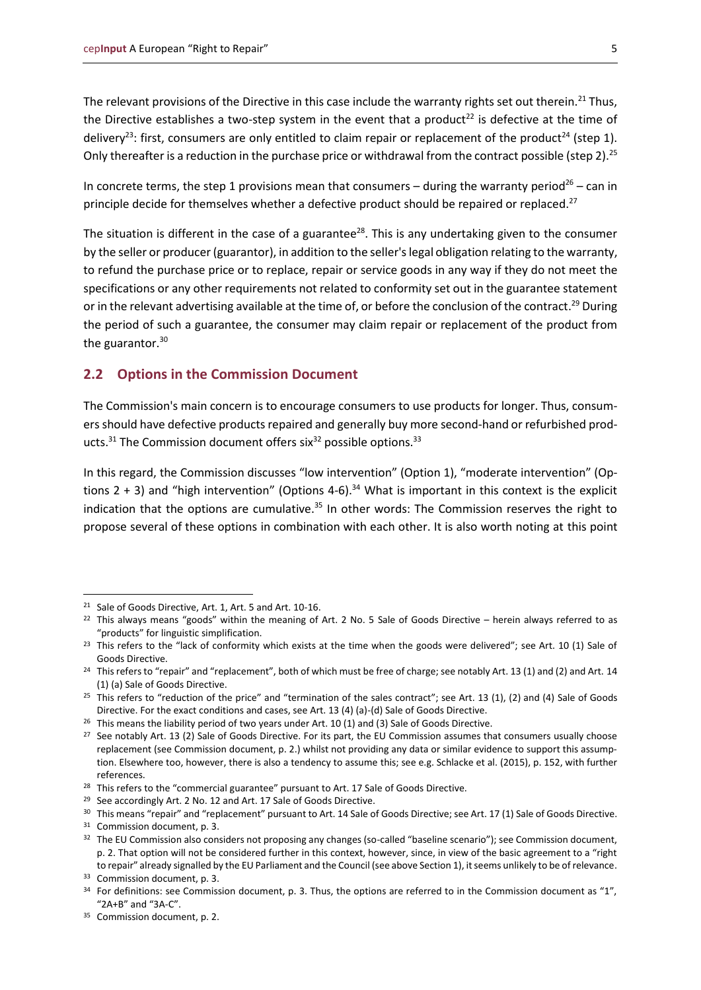The relevant provisions of the Directive in this case include the warranty rights set out therein.<sup>21</sup> Thus, the Directive establishes a two-step system in the event that a product<sup>22</sup> is defective at the time of delivery<sup>23</sup>: first, consumers are only entitled to claim repair or replacement of the product<sup>24</sup> (step 1). Only thereafter is a reduction in the purchase price or withdrawal from the contract possible (step 2).<sup>25</sup>

In concrete terms, the step 1 provisions mean that consumers – during the warranty period<sup>26</sup> – can in principle decide for themselves whether a defective product should be repaired or replaced.<sup>27</sup>

The situation is different in the case of a guarantee<sup>28</sup>. This is any undertaking given to the consumer by the seller or producer (guarantor), in addition to the seller's legal obligation relating to the warranty, to refund the purchase price or to replace, repair or service goods in any way if they do not meet the specifications or any other requirements not related to conformity set out in the guarantee statement or in the relevant advertising available at the time of, or before the conclusion of the contract.<sup>29</sup> During the period of such a guarantee, the consumer may claim repair or replacement of the product from the guarantor. $30$ 

### <span id="page-4-0"></span>**2.2 Options in the Commission Document**

The Commission's main concern is to encourage consumers to use products for longer. Thus, consumers should have defective products repaired and generally buy more second-hand or refurbished products. $31$  The Commission document offers six $32$  possible options. $33$ 

In this regard, the Commission discusses "low intervention" (Option 1), "moderate intervention" (Options  $2 + 3$ ) and "high intervention" (Options 4-6).<sup>34</sup> What is important in this context is the explicit indication that the options are cumulative.<sup>35</sup> In other words: The Commission reserves the right to propose several of these options in combination with each other. It is also worth noting at this point

<sup>21</sup> Sale of Goods Directive, Art. 1, Art. 5 and Art. 10-16.

 $22$  This always means "goods" within the meaning of Art. 2 No. 5 Sale of Goods Directive – herein always referred to as "products" for linguistic simplification.

 $23$  This refers to the "lack of conformity which exists at the time when the goods were delivered"; see Art. 10 (1) Sale of Goods Directive.

<sup>&</sup>lt;sup>24</sup> This refers to "repair" and "replacement", both of which must be free of charge; see notably Art. 13 (1) and (2) and Art. 14 (1) (a) Sale of Goods Directive.

<sup>&</sup>lt;sup>25</sup> This refers to "reduction of the price" and "termination of the sales contract"; see Art. 13 (1), (2) and (4) Sale of Goods Directive. For the exact conditions and cases, see Art. 13 (4) (a)-(d) Sale of Goods Directive.

 $26$  This means the liability period of two years under Art. 10 (1) and (3) Sale of Goods Directive.

<sup>&</sup>lt;sup>27</sup> See notably Art. 13 (2) Sale of Goods Directive. For its part, the EU Commission assumes that consumers usually choose replacement (see Commission document, p. 2.) whilst not providing any data or similar evidence to support this assumption. Elsewhere too, however, there is also a tendency to assume this; see e.g. Schlacke et al. (2015), p. 152, with further references.

<sup>&</sup>lt;sup>28</sup> This refers to the "commercial guarantee" pursuant to Art. 17 Sale of Goods Directive.

<sup>&</sup>lt;sup>29</sup> See accordingly Art. 2 No. 12 and Art. 17 Sale of Goods Directive.

<sup>&</sup>lt;sup>30</sup> This means "repair" and "replacement" pursuant to Art. 14 Sale of Goods Directive; see Art. 17 (1) Sale of Goods Directive.

<sup>31</sup> Commission document, p. 3.

<sup>&</sup>lt;sup>32</sup> The EU Commission also considers not proposing any changes (so-called "baseline scenario"); see Commission document, p. 2. That option will not be considered further in this context, however, since, in view of the basic agreement to a "right to repair" already signalled by the EU Parliament and the Council (see above Section 1), it seems unlikely to be of relevance.

<sup>33</sup> Commission document, p. 3.

 $34$  For definitions: see Commission document, p. 3. Thus, the options are referred to in the Commission document as "1", "2A+B" and "3A-C".

<sup>35</sup> Commission document, p. 2.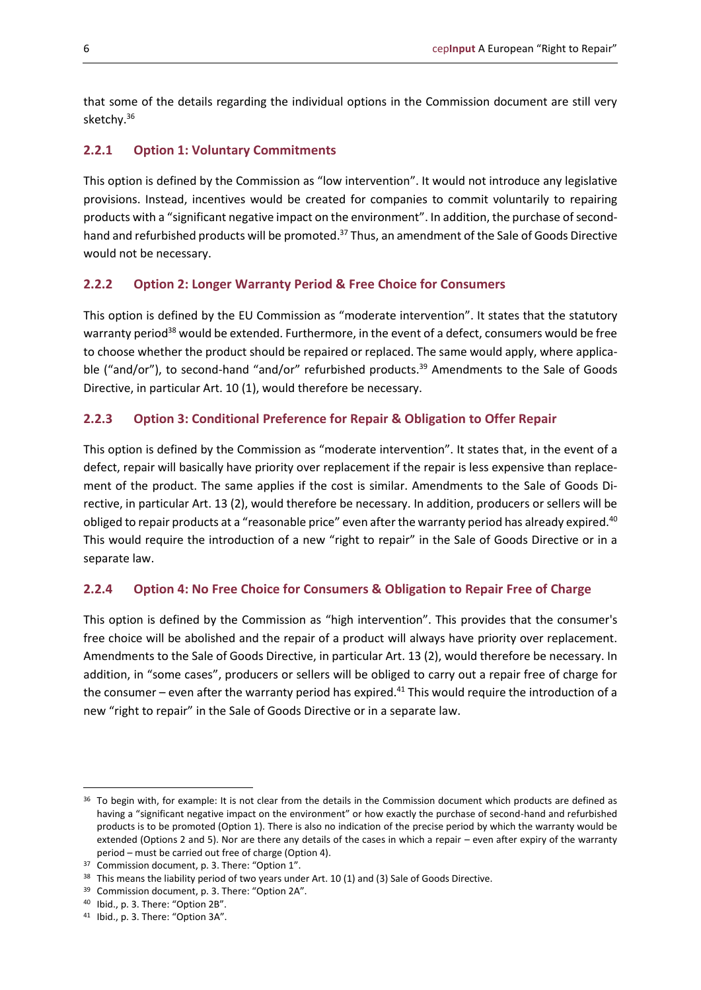that some of the details regarding the individual options in the Commission document are still very sketchy.<sup>36</sup>

#### <span id="page-5-0"></span>**2.2.1 Option 1: Voluntary Commitments**

This option is defined by the Commission as "low intervention". It would not introduce any legislative provisions. Instead, incentives would be created for companies to commit voluntarily to repairing products with a "significant negative impact on the environment". In addition, the purchase of secondhand and refurbished products will be promoted.<sup>37</sup> Thus, an amendment of the Sale of Goods Directive would not be necessary.

#### <span id="page-5-1"></span>**2.2.2 Option 2: Longer Warranty Period & Free Choice for Consumers**

This option is defined by the EU Commission as "moderate intervention". It states that the statutory warranty period<sup>38</sup> would be extended. Furthermore, in the event of a defect, consumers would be free to choose whether the product should be repaired or replaced. The same would apply, where applicable ("and/or"), to second-hand "and/or" refurbished products.<sup>39</sup> Amendments to the Sale of Goods Directive, in particular Art. 10 (1), would therefore be necessary.

#### <span id="page-5-2"></span>**2.2.3 Option 3: Conditional Preference for Repair & Obligation to Offer Repair**

This option is defined by the Commission as "moderate intervention". It states that, in the event of a defect, repair will basically have priority over replacement if the repair is less expensive than replacement of the product. The same applies if the cost is similar. Amendments to the Sale of Goods Directive, in particular Art. 13 (2), would therefore be necessary. In addition, producers or sellers will be obliged to repair products at a "reasonable price" even after the warranty period has already expired.<sup>40</sup> This would require the introduction of a new "right to repair" in the Sale of Goods Directive or in a separate law.

#### <span id="page-5-3"></span>**2.2.4 Option 4: No Free Choice for Consumers & Obligation to Repair Free of Charge**

This option is defined by the Commission as "high intervention". This provides that the consumer's free choice will be abolished and the repair of a product will always have priority over replacement. Amendments to the Sale of Goods Directive, in particular Art. 13 (2), would therefore be necessary. In addition, in "some cases", producers or sellers will be obliged to carry out a repair free of charge for the consumer – even after the warranty period has expired.<sup>41</sup> This would require the introduction of a new "right to repair" in the Sale of Goods Directive or in a separate law.

<sup>&</sup>lt;sup>36</sup> To begin with, for example: It is not clear from the details in the Commission document which products are defined as having a "significant negative impact on the environment" or how exactly the purchase of second-hand and refurbished products is to be promoted (Option 1). There is also no indication of the precise period by which the warranty would be extended (Options 2 and 5). Nor are there any details of the cases in which a repair – even after expiry of the warranty period – must be carried out free of charge (Option 4).

<sup>37</sup> Commission document, p. 3. There: "Option 1".

<sup>&</sup>lt;sup>38</sup> This means the liability period of two years under Art. 10 (1) and (3) Sale of Goods Directive.

<sup>&</sup>lt;sup>39</sup> Commission document, p. 3. There: "Option 2A".

<sup>40</sup> Ibid., p. 3. There: "Option 2B".

<sup>41</sup> Ibid., p. 3. There: "Option 3A".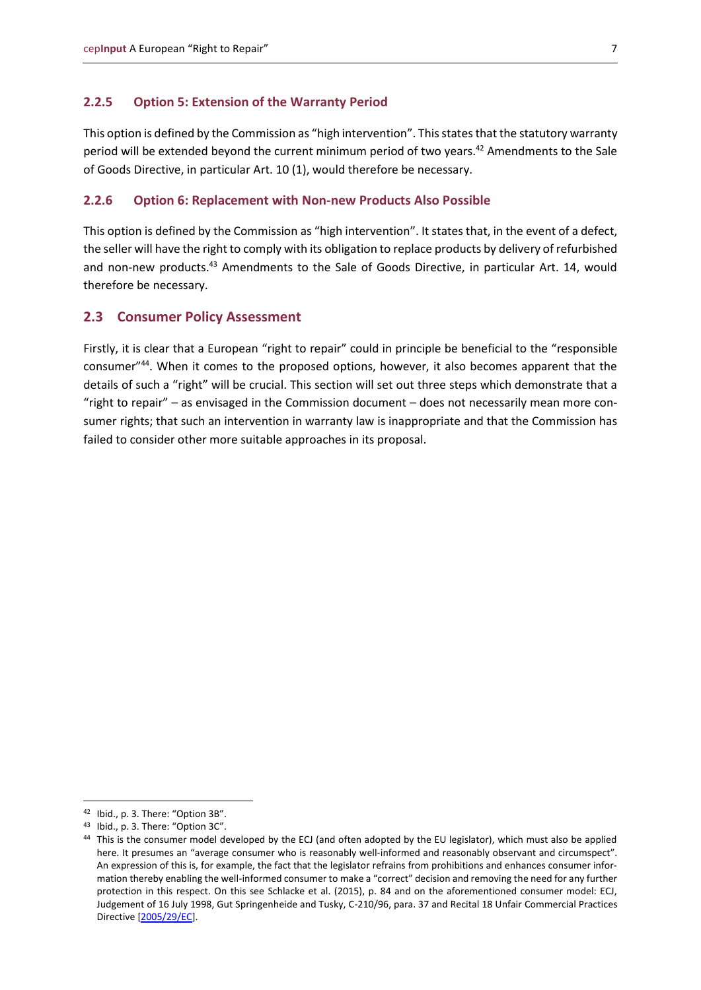#### <span id="page-6-0"></span>**2.2.5 Option 5: Extension of the Warranty Period**

This option is defined by the Commission as "high intervention". This states that the statutory warranty period will be extended beyond the current minimum period of two years.<sup>42</sup> Amendments to the Sale of Goods Directive, in particular Art. 10 (1), would therefore be necessary.

#### <span id="page-6-1"></span>**2.2.6 Option 6: Replacement with Non-new Products Also Possible**

This option is defined by the Commission as "high intervention". It states that, in the event of a defect, the seller will have the right to comply with its obligation to replace products by delivery of refurbished and non-new products.<sup>43</sup> Amendments to the Sale of Goods Directive, in particular Art. 14, would therefore be necessary.

#### <span id="page-6-2"></span>**2.3 Consumer Policy Assessment**

Firstly, it is clear that a European "right to repair" could in principle be beneficial to the "responsible consumer"<sup>44</sup>. When it comes to the proposed options, however, it also becomes apparent that the details of such a "right" will be crucial. This section will set out three steps which demonstrate that a "right to repair" – as envisaged in the Commission document – does not necessarily mean more consumer rights; that such an intervention in warranty law is inappropriate and that the Commission has failed to consider other more suitable approaches in its proposal.

<sup>42</sup> Ibid., p. 3. There: "Option 3B".

<sup>43</sup> Ibid., p. 3. There: "Option 3C".

<sup>&</sup>lt;sup>44</sup> This is the consumer model developed by the ECJ (and often adopted by the EU legislator), which must also be applied here. It presumes an "average consumer who is reasonably well-informed and reasonably observant and circumspect". An expression of this is, for example, the fact that the legislator refrains from prohibitions and enhances consumer information thereby enabling the well-informed consumer to make a "correct" decision and removing the need for any further protection in this respect. On this see Schlacke et al. (2015), p. 84 and on the aforementioned consumer model: ECJ, Judgement of 16 July 1998, Gut Springenheide and Tusky, C-210/96, para. 37 and Recital 18 Unfair Commercial Practices Directive [\[2005/29/EC\]](https://eur-lex.europa.eu/legal-content/EN/TXT/PDF/?uri=CELEX:32005L0029&from=EN).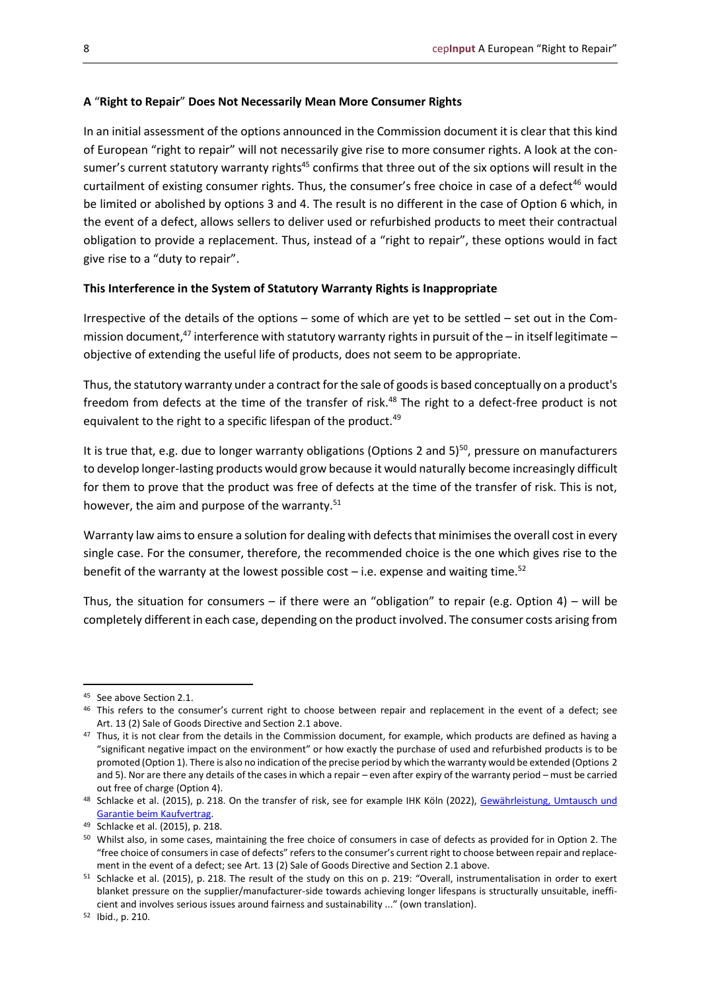#### **A** "**Right to Repair**" **Does Not Necessarily Mean More Consumer Rights**

In an initial assessment of the options announced in the Commission document it is clear that this kind of European "right to repair" will not necessarily give rise to more consumer rights. A look at the consumer's current statutory warranty rights<sup>45</sup> confirms that three out of the six options will result in the curtailment of existing consumer rights. Thus, the consumer's free choice in case of a defect<sup>46</sup> would be limited or abolished by options 3 and 4. The result is no different in the case of Option 6 which, in the event of a defect, allows sellers to deliver used or refurbished products to meet their contractual obligation to provide a replacement. Thus, instead of a "right to repair", these options would in fact give rise to a "duty to repair".

#### **This Interference in the System of Statutory Warranty Rights is Inappropriate**

Irrespective of the details of the options – some of which are yet to be settled – set out in the Commission document,<sup>47</sup> interference with statutory warranty rights in pursuit of the – in itself legitimate – objective of extending the useful life of products, does not seem to be appropriate.

Thus, the statutory warranty under a contract for the sale of goods is based conceptually on a product's freedom from defects at the time of the transfer of risk.<sup>48</sup> The right to a defect-free product is not equivalent to the right to a specific lifespan of the product.<sup>49</sup>

It is true that, e.g. due to longer warranty obligations (Options 2 and  $5$ )<sup>50</sup>, pressure on manufacturers to develop longer-lasting products would grow because it would naturally become increasingly difficult for them to prove that the product was free of defects at the time of the transfer of risk. This is not, however, the aim and purpose of the warranty.<sup>51</sup>

Warranty law aims to ensure a solution for dealing with defects that minimises the overall cost in every single case. For the consumer, therefore, the recommended choice is the one which gives rise to the benefit of the warranty at the lowest possible cost  $-$  i.e. expense and waiting time.<sup>52</sup>

Thus, the situation for consumers – if there were an "obligation" to repair (e.g. Option 4) – will be completely different in each case, depending on the product involved. The consumer costs arising from

<sup>45</sup> See above Section 2.1.

<sup>46</sup> This refers to the consumer's current right to choose between repair and replacement in the event of a defect; see Art. 13 (2) Sale of Goods Directive and Section 2.1 above.

<sup>&</sup>lt;sup>47</sup> Thus, it is not clear from the details in the Commission document, for example, which products are defined as having a "significant negative impact on the environment" or how exactly the purchase of used and refurbished products is to be promoted (Option 1). There is also no indication of the precise period by which the warranty would be extended (Options 2 and 5). Nor are there any details of the cases in which a repair – even after expiry of the warranty period – must be carried out free of charge (Option 4).

<sup>48</sup> Schlacke et al. (2015), p. 218. On the transfer of risk, see for example IHK Köln (2022), Gewährleistung, Umtausch und [Garantie beim Kaufvertrag.](https://ihk-koeln.de/hauptnavigation/recht-steuern/recht/gewaehrleistung-umtausch-und-garantie-beim-kaufvertrag-5171216)

<sup>49</sup> Schlacke et al. (2015), p. 218.

<sup>&</sup>lt;sup>50</sup> Whilst also, in some cases, maintaining the free choice of consumers in case of defects as provided for in Option 2. The "free choice of consumers in case of defects" refers to the consumer's current right to choose between repair and replacement in the event of a defect; see Art. 13 (2) Sale of Goods Directive and Section 2.1 above.

<sup>51</sup> Schlacke et al. (2015), p. 218. The result of the study on this on p. 219: "Overall, instrumentalisation in order to exert blanket pressure on the supplier/manufacturer-side towards achieving longer lifespans is structurally unsuitable, inefficient and involves serious issues around fairness and sustainability ..." (own translation).

<sup>52</sup> Ibid., p. 210.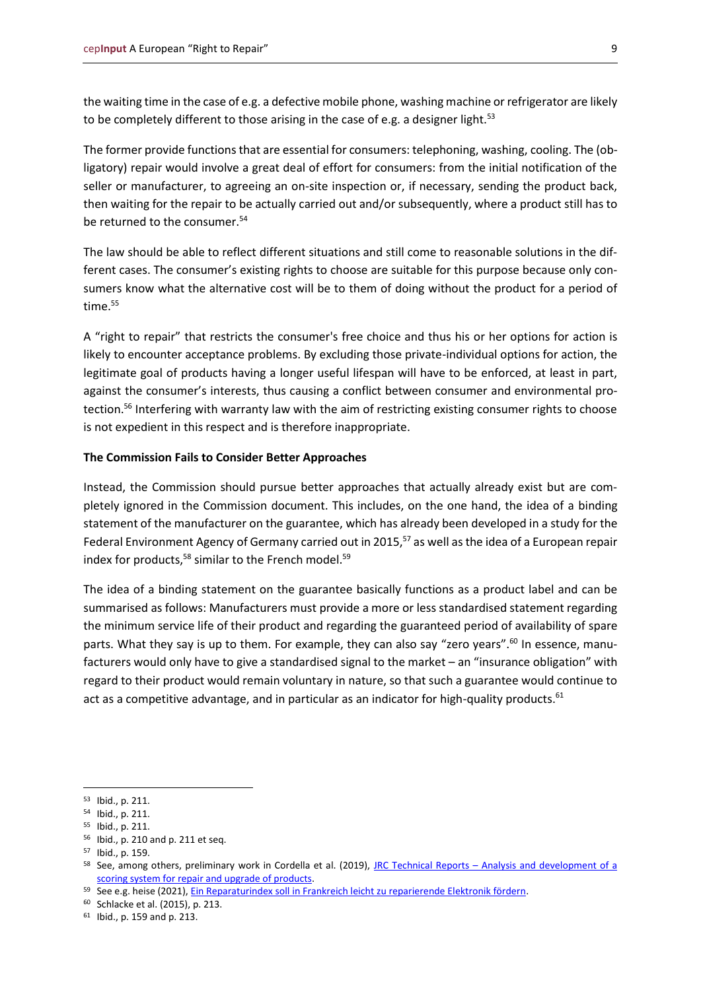the waiting time in the case of e.g. a defective mobile phone, washing machine or refrigerator are likely to be completely different to those arising in the case of e.g. a designer light.<sup>53</sup>

The former provide functions that are essential for consumers: telephoning, washing, cooling. The (obligatory) repair would involve a great deal of effort for consumers: from the initial notification of the seller or manufacturer, to agreeing an on-site inspection or, if necessary, sending the product back, then waiting for the repair to be actually carried out and/or subsequently, where a product still has to be returned to the consumer.<sup>54</sup>

The law should be able to reflect different situations and still come to reasonable solutions in the different cases. The consumer's existing rights to choose are suitable for this purpose because only consumers know what the alternative cost will be to them of doing without the product for a period of time.<sup>55</sup>

A "right to repair" that restricts the consumer's free choice and thus his or her options for action is likely to encounter acceptance problems. By excluding those private-individual options for action, the legitimate goal of products having a longer useful lifespan will have to be enforced, at least in part, against the consumer's interests, thus causing a conflict between consumer and environmental protection.<sup>56</sup> Interfering with warranty law with the aim of restricting existing consumer rights to choose is not expedient in this respect and is therefore inappropriate.

#### **The Commission Fails to Consider Better Approaches**

Instead, the Commission should pursue better approaches that actually already exist but are completely ignored in the Commission document. This includes, on the one hand, the idea of a binding statement of the manufacturer on the guarantee, which has already been developed in a study for the Federal Environment Agency of Germany carried out in 2015,<sup>57</sup> as well as the idea of a European repair index for products, $58$  similar to the French model. $59$ 

The idea of a binding statement on the guarantee basically functions as a product label and can be summarised as follows: Manufacturers must provide a more or less standardised statement regarding the minimum service life of their product and regarding the guaranteed period of availability of spare parts. What they say is up to them. For example, they can also say "zero years".<sup>60</sup> In essence, manufacturers would only have to give a standardised signal to the market – an "insurance obligation" with regard to their product would remain voluntary in nature, so that such a guarantee would continue to act as a competitive advantage, and in particular as an indicator for high-quality products.<sup>61</sup>

<sup>53</sup> Ibid., p. 211.

<sup>54</sup> Ibid., p. 211.

<sup>55</sup> Ibid., p. 211.

<sup>56</sup> Ibid., p. 210 and p. 211 et seq.

<sup>57</sup> Ibid., p. 159.

<sup>58</sup> See, among others, preliminary work in Cordella et al. (2019), JRC Technical Reports - Analysis and development of a [scoring system for repair and upgrade of products.](https://publications.jrc.ec.europa.eu/repository/bitstream/JRC114337/jrc114337_report_repair_scoring_system_final_report_v3.2_pubsy_clean.pdf)

<sup>59</sup> See e.g. heise (2021), [Ein Reparaturindex soll in Frankreich leicht zu reparierende Elektronik fördern.](https://www.heise.de/hintergrund/Ein-Reparaturindex-soll-in-Frankreich-leicht-zu-reparierende-Elektronik-foerdern-5994578.html)

<sup>60</sup> Schlacke et al. (2015), p. 213.

<sup>61</sup> Ibid., p. 159 and p. 213.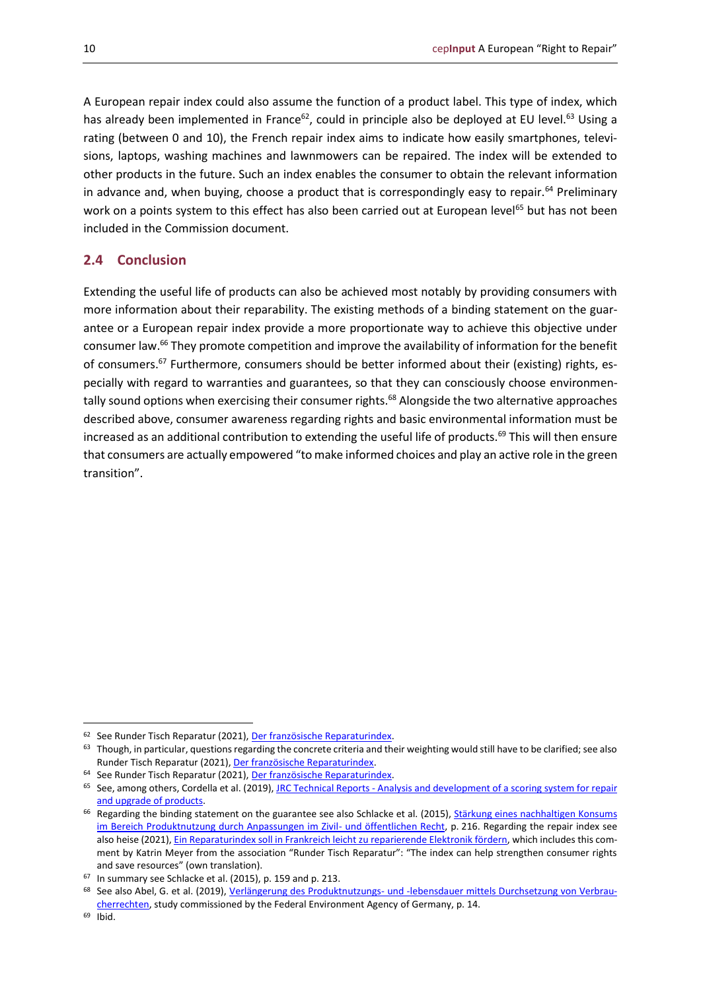A European repair index could also assume the function of a product label. This type of index, which has already been implemented in France<sup>62</sup>, could in principle also be deployed at EU level.<sup>63</sup> Using a rating (between 0 and 10), the French repair index aims to indicate how easily smartphones, televisions, laptops, washing machines and lawnmowers can be repaired. The index will be extended to other products in the future. Such an index enables the consumer to obtain the relevant information in advance and, when buying, choose a product that is correspondingly easy to repair.<sup>64</sup> Preliminary work on a points system to this effect has also been carried out at European level<sup>65</sup> but has not been included in the Commission document.

## <span id="page-9-0"></span>**2.4 Conclusion**

Extending the useful life of products can also be achieved most notably by providing consumers with more information about their reparability. The existing methods of a binding statement on the guarantee or a European repair index provide a more proportionate way to achieve this objective under consumer law.<sup>66</sup> They promote competition and improve the availability of information for the benefit of consumers.<sup>67</sup> Furthermore, consumers should be better informed about their (existing) rights, especially with regard to warranties and guarantees, so that they can consciously choose environmentally sound options when exercising their consumer rights.<sup>68</sup> Alongside the two alternative approaches described above, consumer awareness regarding rights and basic environmental information must be increased as an additional contribution to extending the useful life of products.<sup>69</sup> This will then ensure that consumers are actually empowered "to make informed choices and play an active role in the green transition".

<sup>62</sup> See Runder Tisch Reparatur (2021)[, Der französische Reparaturindex.](https://runder-tisch-reparatur.de/reparaturindex/)

<sup>63</sup> Though, in particular, questions regarding the concrete criteria and their weighting would still have to be clarified; see also Runder Tisch Reparatur (2021)[, Der französische Reparaturindex.](https://runder-tisch-reparatur.de/reparaturindex/)

<sup>64</sup> See Runder Tisch Reparatur (2021)[, Der französische Reparaturindex.](https://runder-tisch-reparatur.de/reparaturindex/)

<sup>&</sup>lt;sup>65</sup> See, among others, Cordella et al. (2019), JRC Technical Reports - Analysis and development of a scoring system for repair [and upgrade of products.](https://publications.jrc.ec.europa.eu/repository/bitstream/JRC114337/jrc114337_report_repair_scoring_system_final_report_v3.2_pubsy_clean.pdf)

<sup>&</sup>lt;sup>66</sup> Regarding the binding statement on the guarantee see also Schlacke et al. (2015), Stärkung eines nachhaltigen Konsums [im Bereich Produktnutzung durch Anpassungen im Zivil-](https://www.umweltbundesamt.de/sites/default/files/medien/378/publikationen/texte_72_2015_staerkung_eines_nachhaltigen_konsums_im_bereich_produktnutzung_0.pdf) und öffentlichen Recht, p. 216. Regarding the repair index see also heise (2021)[, Ein Reparaturindex soll in Frankreich leicht zu reparierende Elektronik fördern,](https://www.heise.de/hintergrund/Ein-Reparaturindex-soll-in-Frankreich-leicht-zu-reparierende-Elektronik-foerdern-5994578.html) which includes this comment by Katrin Meyer from the association "Runder Tisch Reparatur": "The index can help strengthen consumer rights and save resources" (own translation).

<sup>67</sup> In summary see Schlacke et al. (2015), p. 159 and p. 213.

<sup>&</sup>lt;sup>68</sup> See also Abel, G. et al. (2019), Verlängerung des Produktnutzungs- [und -lebensdauer mittels Durchsetzung von Verbrau](https://www.umweltbundesamt.de/sites/default/files/medien/1410/publikationen/2019-07-17_texte_76-2019_verbraucherrechte.pdf)[cherrechten,](https://www.umweltbundesamt.de/sites/default/files/medien/1410/publikationen/2019-07-17_texte_76-2019_verbraucherrechte.pdf) study commissioned by the Federal Environment Agency of Germany, p. 14.

<sup>69</sup> Ibid.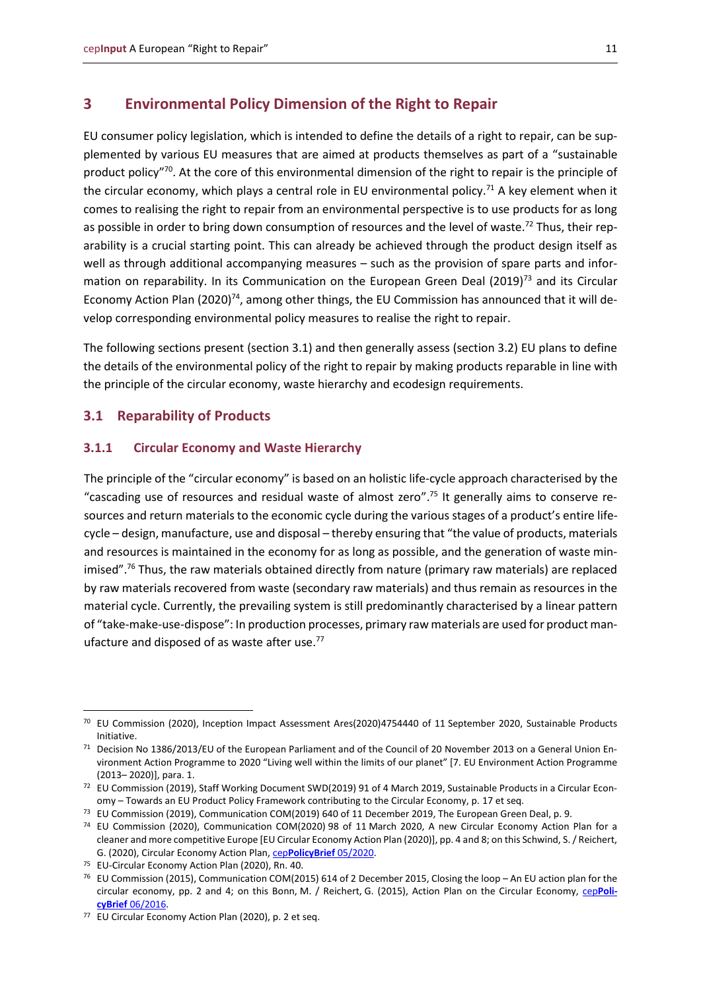### <span id="page-10-0"></span>**3 Environmental Policy Dimension of the Right to Repair**

EU consumer policy legislation, which is intended to define the details of a right to repair, can be supplemented by various EU measures that are aimed at products themselves as part of a "sustainable product policy"<sup>70</sup>. At the core of this environmental dimension of the right to repair is the principle of the circular economy, which plays a central role in EU environmental policy.<sup>71</sup> A key element when it comes to realising the right to repair from an environmental perspective is to use products for as long as possible in order to bring down consumption of resources and the level of waste.<sup>72</sup> Thus, their reparability is a crucial starting point. This can already be achieved through the product design itself as well as through additional accompanying measures – such as the provision of spare parts and information on reparability. In its Communication on the European Green Deal (2019)<sup>73</sup> and its Circular Economy Action Plan (2020)<sup>74</sup>, among other things, the EU Commission has announced that it will develop corresponding environmental policy measures to realise the right to repair.

The following sections present (section 3.1) and then generally assess (section 3.2) EU plans to define the details of the environmental policy of the right to repair by making products reparable in line with the principle of the circular economy, waste hierarchy and ecodesign requirements.

#### <span id="page-10-1"></span>**3.1 Reparability of Products**

#### <span id="page-10-2"></span>**3.1.1 Circular Economy and Waste Hierarchy**

The principle of the "circular economy" is based on an holistic life-cycle approach characterised by the "cascading use of resources and residual waste of almost zero". <sup>75</sup> It generally aims to conserve resources and return materials to the economic cycle during the various stages of a product's entire lifecycle – design, manufacture, use and disposal – thereby ensuring that "the value of products, materials and resources is maintained in the economy for as long as possible, and the generation of waste minimised".<sup>76</sup> Thus, the raw materials obtained directly from nature (primary raw materials) are replaced by raw materials recovered from waste (secondary raw materials) and thus remain as resources in the material cycle. Currently, the prevailing system is still predominantly characterised by a linear pattern of "take-make-use-dispose": In production processes, primary raw materials are used for product manufacture and disposed of as waste after use. $77$ 

<sup>&</sup>lt;sup>70</sup> EU Commission (2020), Inception Impact Assessment Ares(2020)4754440 of 11 September 2020, Sustainable Products Initiative.

<sup>71</sup> Decision No 1386/2013/EU of the European Parliament and of the Council of 20 November 2013 on a General Union Environment Action Programme to 2020 "Living well within the limits of our planet" [7. EU Environment Action Programme (2013– 2020)], para. 1.

<sup>72</sup> EU Commission (2019), Staff Working Document SWD(2019) 91 of 4 March 2019, Sustainable Products in a Circular Economy – Towards an EU Product Policy Framework contributing to the Circular Economy, p. 17 et seq.

<sup>&</sup>lt;sup>73</sup> EU Commission (2019), Communication COM(2019) 640 of 11 December 2019, The European Green Deal, p. 9.

<sup>74</sup> EU Commission (2020), Communication COM(2020) 98 of 11 March 2020, A new Circular Economy Action Plan for a cleaner and more competitive Europe [EU Circular Economy Action Plan (2020)], pp. 4 and 8; on this Schwind, S. / Reichert, G. (2020), Circular Economy Action Plan, cep**[PolicyBrief](https://www.cep.eu/en/eu-topics/details/cep/action-plan-for-the-circular-economy-ceppolicybrief-on-communication-com2020-98.html)** 05/2020.

<sup>75</sup> EU-Circular Economy Action Plan (2020), Rn. 40.

<sup>76</sup> EU Commission (2015), Communication COM(2015) 614 of 2 December 2015, Closing the loop – An EU action plan for the circular economy, pp. 2 and 4; on this Bonn, M. / Reichert, G. (2015), Action Plan on the Circular Economy, cep**[Poli](https://www.cep.eu/en/eu-topics/details/cep/action-plan-for-the-circular-economy-communication.html)cyBrief** [06/2016.](https://www.cep.eu/en/eu-topics/details/cep/action-plan-for-the-circular-economy-communication.html)

<sup>77</sup> EU Circular Economy Action Plan (2020), p. 2 et seq.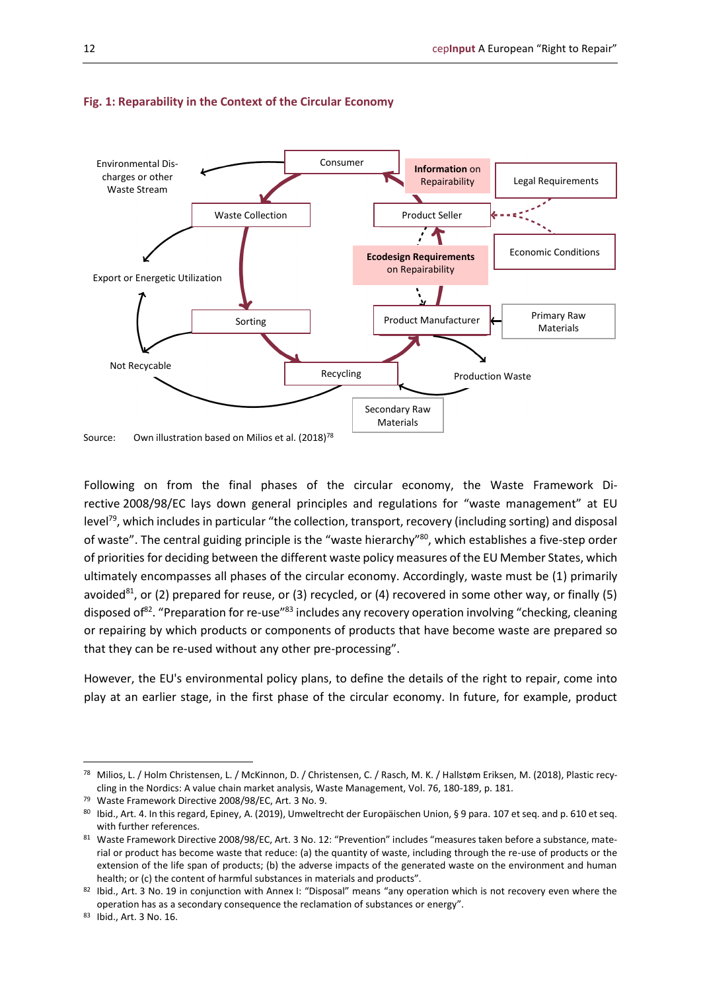

#### **Fig. 1: Reparability in the Context of the Circular Economy**

Following on from the final phases of the circular economy, the Waste Framework Directive 2008/98/EC lays down general principles and regulations for "waste management" at EU level<sup>79</sup>, which includes in particular "the collection, transport, recovery (including sorting) and disposal of waste". The central guiding principle is the "waste hierarchy"<sup>80</sup>, which establishes a five-step order of priorities for deciding between the different waste policy measures of the EU Member States, which ultimately encompasses all phases of the circular economy. Accordingly, waste must be (1) primarily avoided<sup>81</sup>, or (2) prepared for reuse, or (3) recycled, or (4) recovered in some other way, or finally (5) disposed of<sup>82</sup>. "Preparation for re-use"<sup>83</sup> includes any recovery operation involving "checking, cleaning or repairing by which products or components of products that have become waste are prepared so that they can be re-used without any other pre-processing".

However, the EU's environmental policy plans, to define the details of the right to repair, come into play at an earlier stage, in the first phase of the circular economy. In future, for example, product

<sup>78</sup> Milios, L. / Holm Christensen, L. / McKinnon, D. / Christensen, C. / Rasch, M. K. / Hallstøm Eriksen, M. (2018), Plastic recycling in the Nordics: A value chain market analysis, Waste Management, Vol. 76, 180-189, p. 181.

<sup>79</sup> Waste Framework Directive 2008/98/EC, Art. 3 No. 9.

<sup>80</sup> Ibid., Art. 4. In this regard, Epiney, A. (2019), Umweltrecht der Europäischen Union, § 9 para. 107 et seq. and p. 610 et seq. with further references.

<sup>81</sup> Waste Framework Directive 2008/98/EC, Art. 3 No. 12: "Prevention" includes "measures taken before a substance, material or product has become waste that reduce: (a) the quantity of waste, including through the re-use of products or the extension of the life span of products; (b) the adverse impacts of the generated waste on the environment and human health; or (c) the content of harmful substances in materials and products".

<sup>82</sup> Ibid., Art. 3 No. 19 in conjunction with Annex I: "Disposal" means "any operation which is not recovery even where the operation has as a secondary consequence the reclamation of substances or energy".

<sup>83</sup> Ibid., Art. 3 No. 16.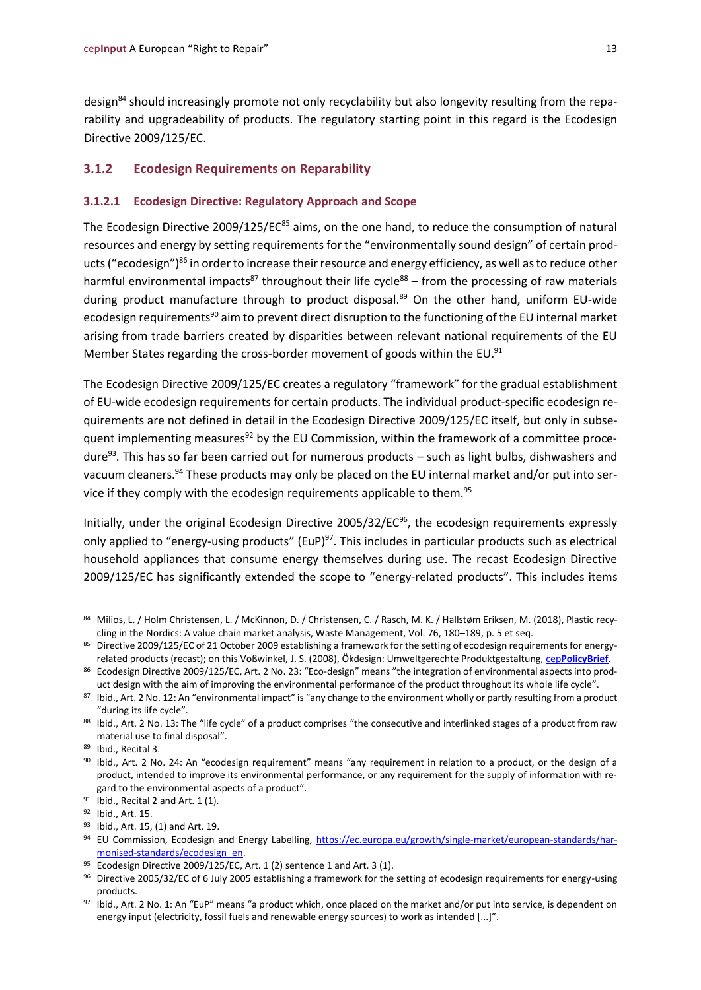design<sup>84</sup> should increasingly promote not only recyclability but also longevity resulting from the reparability and upgradeability of products. The regulatory starting point in this regard is the Ecodesign Directive 2009/125/EC.

#### <span id="page-12-0"></span>**3.1.2 Ecodesign Requirements on Reparability**

#### <span id="page-12-1"></span>**3.1.2.1 Ecodesign Directive: Regulatory Approach and Scope**

The Ecodesign Directive 2009/125/EC<sup>85</sup> aims, on the one hand, to reduce the consumption of natural resources and energy by setting requirements for the "environmentally sound design" of certain products ("ecodesign")<sup>86</sup> in order to increase their resource and energy efficiency, as well as to reduce other harmful environmental impacts<sup>87</sup> throughout their life cycle<sup>88</sup> – from the processing of raw materials during product manufacture through to product disposal.<sup>89</sup> On the other hand, uniform EU-wide ecodesign requirements<sup>90</sup> aim to prevent direct disruption to the functioning of the EU internal market arising from trade barriers created by disparities between relevant national requirements of the EU Member States regarding the cross-border movement of goods within the EU. $91$ 

The Ecodesign Directive 2009/125/EC creates a regulatory "framework" for the gradual establishment of EU-wide ecodesign requirements for certain products. The individual product-specific ecodesign requirements are not defined in detail in the Ecodesign Directive 2009/125/EC itself, but only in subsequent implementing measures<sup>92</sup> by the EU Commission, within the framework of a committee procedure<sup>93</sup>. This has so far been carried out for numerous products – such as light bulbs, dishwashers and vacuum cleaners.<sup>94</sup> These products may only be placed on the EU internal market and/or put into service if they comply with the ecodesign requirements applicable to them.<sup>95</sup>

Initially, under the original Ecodesign Directive 2005/32/EC $96$ , the ecodesign requirements expressly only applied to "energy-using products" (EuP) $97$ . This includes in particular products such as electrical household appliances that consume energy themselves during use. The recast Ecodesign Directive 2009/125/EC has significantly extended the scope to "energy-related products". This includes items

<sup>84</sup> Milios, L. / Holm Christensen, L. / McKinnon, D. / Christensen, C. / Rasch, M. K. / Hallstøm Eriksen, M. (2018), Plastic recycling in the Nordics: A value chain market analysis, Waste Management, Vol. 76, 180–189, p. 5 et seq.

<sup>85</sup> Directive 2009/125/EC of 21 October 2009 establishing a framework for the setting of ecodesign requirements for energyrelated products (recast); on this Voßwinkel, J. S. (2008), Ökdesign: Umweltgerechte Produktgestaltung, cep**[PolicyBrief](https://www.cep.eu/en/eu-topics/details/cep/oekodesign-umweltgerechte-produktgestaltung-richtlinie.html)**.

<sup>86</sup> Ecodesign Directive 2009/125/EC, Art. 2 No. 23: "Eco-design" means "the integration of environmental aspects into product design with the aim of improving the environmental performance of the product throughout its whole life cycle".

<sup>87</sup> Ibid., Art. 2 No. 12: An "environmental impact" is "any change to the environment wholly or partly resulting from a product "during its life cycle".

<sup>88</sup> Ibid., Art. 2 No. 13: The "life cycle" of a product comprises "the consecutive and interlinked stages of a product from raw material use to final disposal".

<sup>89</sup> Ibid., Recital 3.

<sup>90</sup> Ibid., Art. 2 No. 24: An "ecodesign requirement" means "any requirement in relation to a product, or the design of a product, intended to improve its environmental performance, or any requirement for the supply of information with regard to the environmental aspects of a product".

 $91$  Ibid., Recital 2 and Art. 1 (1).

<sup>92</sup> Ibid., Art. 15.

<sup>93</sup> Ibid., Art. 15, (1) and Art. 19.

<sup>94</sup> EU Commission, Ecodesign and Energy Labelling, [https://ec.europa.eu/growth/single-market/european-standards/har](https://ec.europa.eu/growth/single-market/european-standards/harmonised-standards/ecodesign_en)[monised-standards/ecodesign\\_en.](https://ec.europa.eu/growth/single-market/european-standards/harmonised-standards/ecodesign_en)

<sup>95</sup> Ecodesign Directive 2009/125/EC, Art. 1 (2) sentence 1 and Art. 3 (1).

<sup>96</sup> Directive 2005/32/EC of 6 July 2005 establishing a framework for the setting of ecodesign requirements for energy-using products.

<sup>97</sup> Ibid., Art. 2 No. 1: An "EuP" means "a product which, once placed on the market and/or put into service, is dependent on energy input (electricity, fossil fuels and renewable energy sources) to work as intended [...]".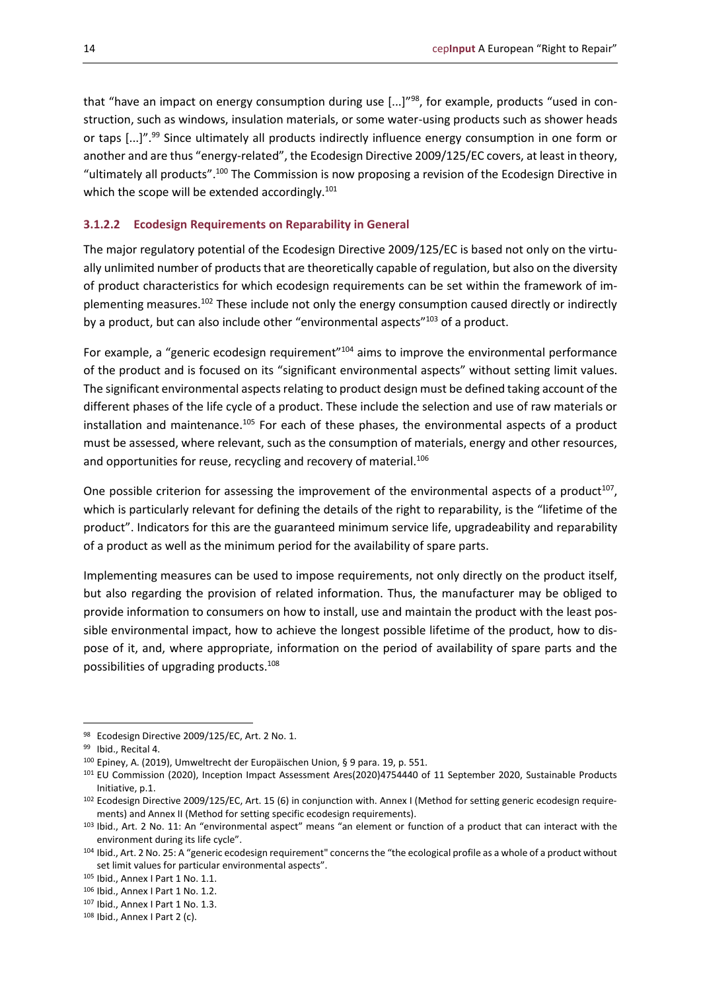that "have an impact on energy consumption during use  $[...]^{98}$ , for example, products "used in construction, such as windows, insulation materials, or some water-using products such as shower heads or taps [...]".<sup>99</sup> Since ultimately all products indirectly influence energy consumption in one form or another and are thus "energy-related", the Ecodesign Directive 2009/125/EC covers, at least in theory, "ultimately all products".<sup>100</sup> The Commission is now proposing a revision of the Ecodesign Directive in which the scope will be extended accordingly.<sup>101</sup>

#### <span id="page-13-0"></span>**3.1.2.2 Ecodesign Requirements on Reparability in General**

The major regulatory potential of the Ecodesign Directive 2009/125/EC is based not only on the virtually unlimited number of products that are theoretically capable of regulation, but also on the diversity of product characteristics for which ecodesign requirements can be set within the framework of implementing measures.<sup>102</sup> These include not only the energy consumption caused directly or indirectly by a product, but can also include other "environmental aspects"<sup>103</sup> of a product.

For example, a "generic ecodesign requirement"<sup>104</sup> aims to improve the environmental performance of the product and is focused on its "significant environmental aspects" without setting limit values. The significant environmental aspects relating to product design must be defined taking account of the different phases of the life cycle of a product. These include the selection and use of raw materials or installation and maintenance.<sup>105</sup> For each of these phases, the environmental aspects of a product must be assessed, where relevant, such as the consumption of materials, energy and other resources, and opportunities for reuse, recycling and recovery of material.<sup>106</sup>

One possible criterion for assessing the improvement of the environmental aspects of a product<sup>107</sup>, which is particularly relevant for defining the details of the right to reparability, is the "lifetime of the product". Indicators for this are the guaranteed minimum service life, upgradeability and reparability of a product as well as the minimum period for the availability of spare parts.

Implementing measures can be used to impose requirements, not only directly on the product itself, but also regarding the provision of related information. Thus, the manufacturer may be obliged to provide information to consumers on how to install, use and maintain the product with the least possible environmental impact, how to achieve the longest possible lifetime of the product, how to dispose of it, and, where appropriate, information on the period of availability of spare parts and the possibilities of upgrading products.<sup>108</sup>

<sup>98</sup> Ecodesign Directive 2009/125/EC, Art. 2 No. 1.

<sup>99</sup> Ibid., Recital 4.

<sup>100</sup> Epiney, A. (2019), Umweltrecht der Europäischen Union, § 9 para. 19, p. 551.

<sup>101</sup> EU Commission (2020), Inception Impact Assessment Ares(2020)4754440 of 11 September 2020, Sustainable Products Initiative, p.1.

<sup>102</sup> Ecodesign Directive 2009/125/EC, Art. 15 (6) in conjunction with. Annex I (Method for setting generic ecodesign requirements) and Annex II (Method for setting specific ecodesign requirements).

<sup>103</sup> Ibid., Art. 2 No. 11: An "environmental aspect" means "an element or function of a product that can interact with the environment during its life cycle".

<sup>104</sup> Ibid., Art. 2 No. 25: A "generic ecodesign requirement" concerns the "the ecological profile as a whole of a product without set limit values for particular environmental aspects".

<sup>105</sup> Ibid., Annex I Part 1 No. 1.1.

<sup>106</sup> Ibid., Annex I Part 1 No. 1.2.

<sup>107</sup> Ibid., Annex I Part 1 No. 1.3.

<sup>108</sup> Ibid., Annex I Part 2 (c).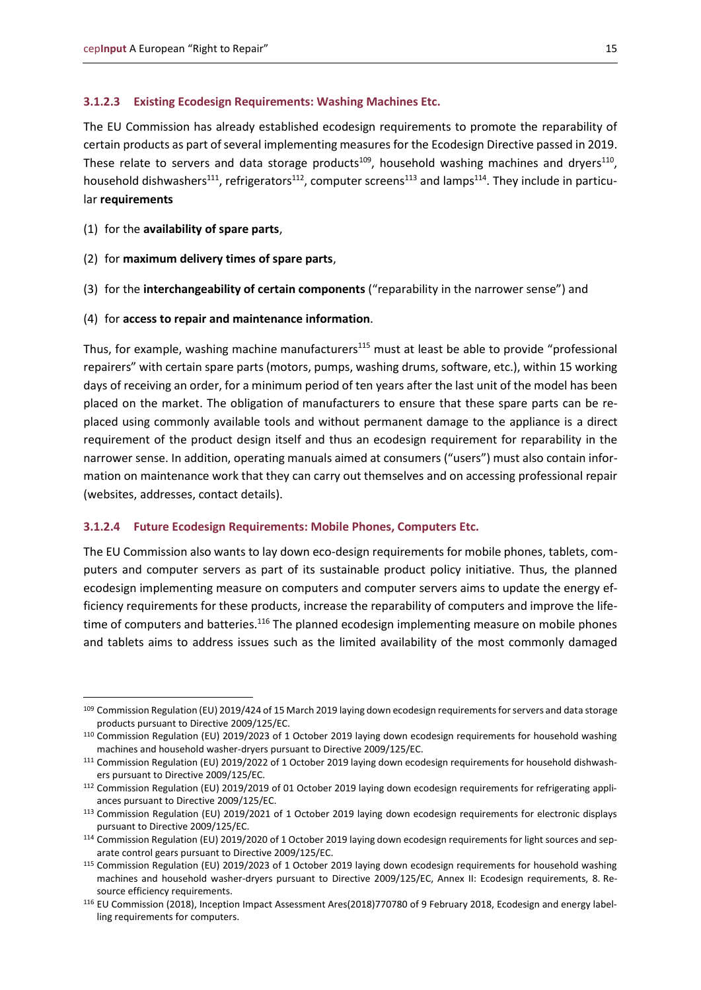#### <span id="page-14-0"></span>**3.1.2.3 Existing Ecodesign Requirements: Washing Machines Etc.**

The EU Commission has already established ecodesign requirements to promote the reparability of certain products as part of several implementing measures for the Ecodesign Directive passed in 2019. These relate to servers and data storage products<sup>109</sup>, household washing machines and dryers<sup>110</sup>, household dishwashers<sup>111</sup>, refrigerators<sup>112</sup>, computer screens<sup>113</sup> and lamps<sup>114</sup>. They include in particular **requirements**

- (1) for the **availability of spare parts**,
- (2) for **maximum delivery times of spare parts**,
- (3) for the **interchangeability of certain components** ("reparability in the narrower sense") and
- (4) for **access to repair and maintenance information**.

Thus, for example, washing machine manufacturers<sup>115</sup> must at least be able to provide "professional repairers" with certain spare parts (motors, pumps, washing drums, software, etc.), within 15 working days of receiving an order, for a minimum period of ten years after the last unit of the model has been placed on the market. The obligation of manufacturers to ensure that these spare parts can be replaced using commonly available tools and without permanent damage to the appliance is a direct requirement of the product design itself and thus an ecodesign requirement for reparability in the narrower sense. In addition, operating manuals aimed at consumers ("users") must also contain information on maintenance work that they can carry out themselves and on accessing professional repair (websites, addresses, contact details).

#### <span id="page-14-1"></span>**3.1.2.4 Future Ecodesign Requirements: Mobile Phones, Computers Etc.**

The EU Commission also wants to lay down eco-design requirements for mobile phones, tablets, computers and computer servers as part of its sustainable product policy initiative. Thus, the planned ecodesign implementing measure on computers and computer servers aims to update the energy efficiency requirements for these products, increase the reparability of computers and improve the lifetime of computers and batteries.<sup>116</sup> The planned ecodesign implementing measure on mobile phones and tablets aims to address issues such as the limited availability of the most commonly damaged

<sup>109</sup> Commission Regulation (EU) 2019/424 of 15 March 2019 laying down ecodesign requirements for servers and data storage products pursuant to Directive 2009/125/EC.

<sup>110</sup> Commission Regulation (EU) 2019/2023 of 1 October 2019 laying down ecodesign requirements for household washing machines and household washer-dryers pursuant to Directive 2009/125/EC.

<sup>111</sup> Commission Regulation (EU) 2019/2022 of 1 October 2019 laying down ecodesign requirements for household dishwashers pursuant to Directive 2009/125/EC.

<sup>112</sup> Commission Regulation (EU) 2019/2019 of 01 October 2019 laying down ecodesign requirements for refrigerating appliances pursuant to Directive 2009/125/EC.

<sup>113</sup> Commission Regulation (EU) 2019/2021 of 1 October 2019 laying down ecodesign requirements for electronic displays pursuant to Directive 2009/125/EC.

<sup>114</sup> Commission Regulation (EU) 2019/2020 of 1 October 2019 laying down ecodesign requirements for light sources and separate control gears pursuant to Directive 2009/125/EC.

<sup>115</sup> Commission Regulation (EU) 2019/2023 of 1 October 2019 laying down ecodesign requirements for household washing machines and household washer-dryers pursuant to Directive 2009/125/EC, Annex II: Ecodesign requirements, 8. Resource efficiency requirements.

<sup>116</sup> EU Commission (2018), Inception Impact Assessment Ares(2018)770780 of 9 February 2018, Ecodesign and energy labelling requirements for computers.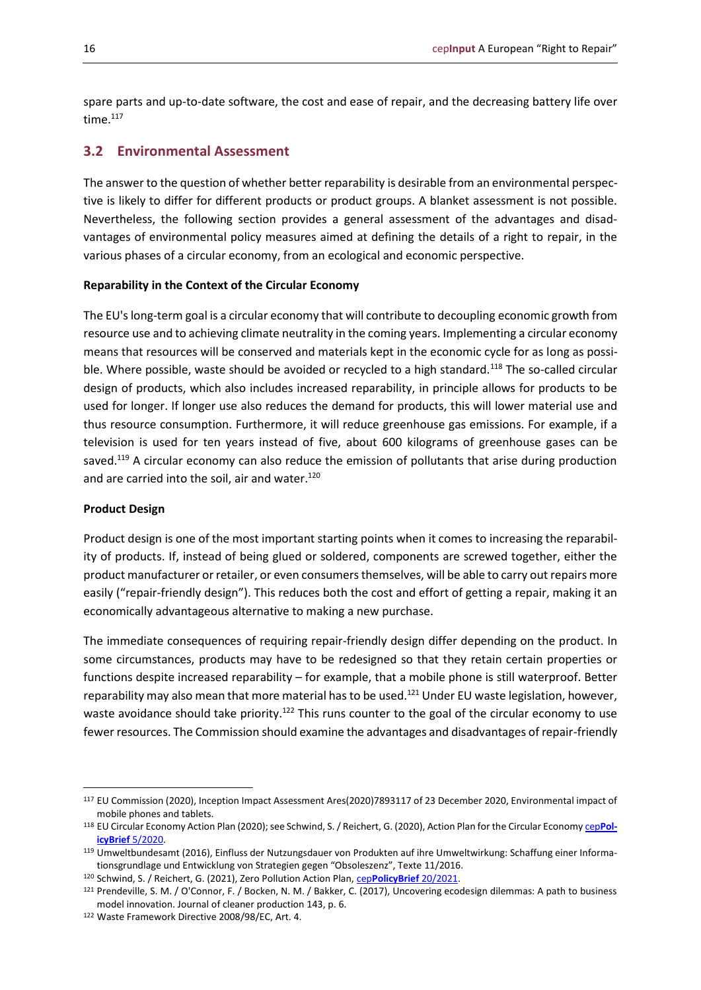spare parts and up-to-date software, the cost and ease of repair, and the decreasing battery life over time.<sup>117</sup>

#### <span id="page-15-0"></span>**3.2 Environmental Assessment**

The answer to the question of whether better reparability is desirable from an environmental perspective is likely to differ for different products or product groups. A blanket assessment is not possible. Nevertheless, the following section provides a general assessment of the advantages and disadvantages of environmental policy measures aimed at defining the details of a right to repair, in the various phases of a circular economy, from an ecological and economic perspective.

#### **Reparability in the Context of the Circular Economy**

The EU's long-term goal is a circular economy that will contribute to decoupling economic growth from resource use and to achieving climate neutrality in the coming years. Implementing a circular economy means that resources will be conserved and materials kept in the economic cycle for as long as possible. Where possible, waste should be avoided or recycled to a high standard.<sup>118</sup> The so-called circular design of products, which also includes increased reparability, in principle allows for products to be used for longer. If longer use also reduces the demand for products, this will lower material use and thus resource consumption. Furthermore, it will reduce greenhouse gas emissions. For example, if a television is used for ten years instead of five, about 600 kilograms of greenhouse gases can be saved.<sup>119</sup> A circular economy can also reduce the emission of pollutants that arise during production and are carried into the soil, air and water.<sup>120</sup>

#### **Product Design**

Product design is one of the most important starting points when it comes to increasing the reparability of products. If, instead of being glued or soldered, components are screwed together, either the product manufacturer or retailer, or even consumers themselves, will be able to carry out repairs more easily ("repair-friendly design"). This reduces both the cost and effort of getting a repair, making it an economically advantageous alternative to making a new purchase.

The immediate consequences of requiring repair-friendly design differ depending on the product. In some circumstances, products may have to be redesigned so that they retain certain properties or functions despite increased reparability – for example, that a mobile phone is still waterproof. Better reparability may also mean that more material has to be used.<sup>121</sup> Under EU waste legislation, however, waste avoidance should take priority.<sup>122</sup> This runs counter to the goal of the circular economy to use fewer resources. The Commission should examine the advantages and disadvantages of repair-friendly

<sup>117</sup> EU Commission (2020), Inception Impact Assessment Ares(2020)7893117 of 23 December 2020, Environmental impact of mobile phones and tablets.

<sup>118</sup> EU Circular Economy Action Plan (2020); see Schwind, S. / Reichert, G. (2020), Action Plan for the Circular Econom[y cep](https://www.cep.eu/en/eu-topics/details/cep/action-plan-for-the-circular-economy-ceppolicybrief-on-communication-com2020-98.html)**PolicyBrief** [5/2020.](https://www.cep.eu/en/eu-topics/details/cep/action-plan-for-the-circular-economy-ceppolicybrief-on-communication-com2020-98.html)

<sup>119</sup> Umweltbundesamt (2016), Einfluss der Nutzungsdauer von Produkten auf ihre Umweltwirkung: Schaffung einer Informationsgrundlage und Entwicklung von Strategien gegen "Obsoleszenz", Texte 11/2016.

<sup>120</sup> Schwind, S. / Reichert, G. (2021), Zero Pollution Action Plan, cep**[PolicyBrief](https://www.cep.eu/en/eu-topics/details/cep/zero-pollution-plan-ceppolicybrief-com2020-400.html)** 20/2021.

<sup>121</sup> Prendeville, S. M. / O'Connor, F. / Bocken, N. M. / Bakker, C. (2017), Uncovering ecodesign dilemmas: A path to business model innovation. Journal of cleaner production 143, p. 6.

<sup>122</sup> Waste Framework Directive 2008/98/EC, Art. 4.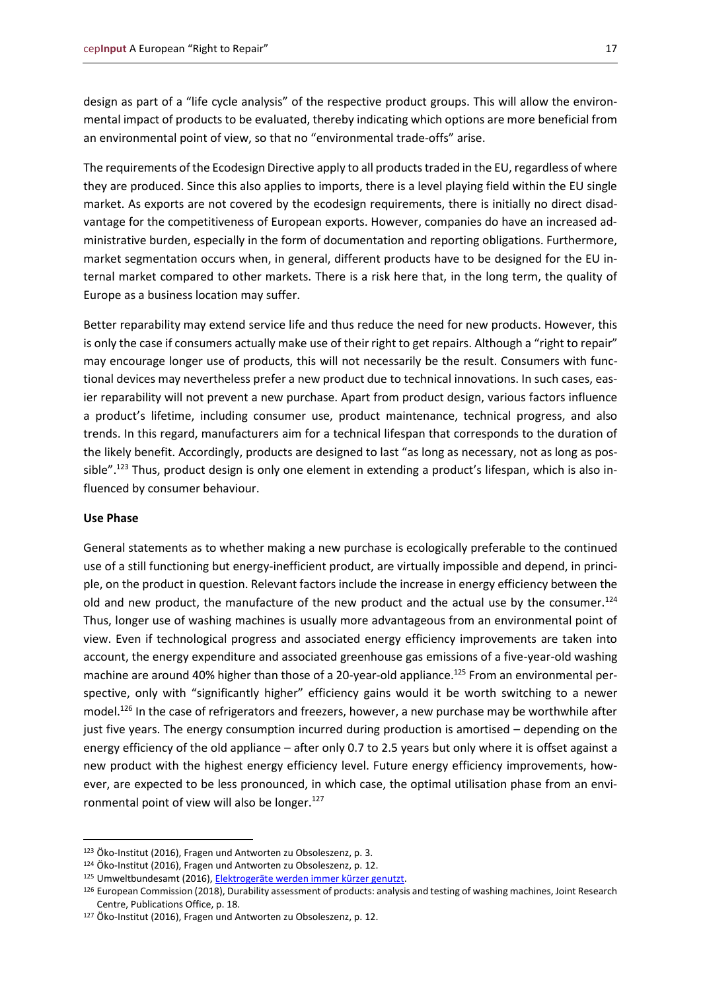design as part of a "life cycle analysis" of the respective product groups. This will allow the environmental impact of products to be evaluated, thereby indicating which options are more beneficial from an environmental point of view, so that no "environmental trade-offs" arise.

The requirements of the Ecodesign Directive apply to all products traded in the EU, regardless of where they are produced. Since this also applies to imports, there is a level playing field within the EU single market. As exports are not covered by the ecodesign requirements, there is initially no direct disadvantage for the competitiveness of European exports. However, companies do have an increased administrative burden, especially in the form of documentation and reporting obligations. Furthermore, market segmentation occurs when, in general, different products have to be designed for the EU internal market compared to other markets. There is a risk here that, in the long term, the quality of Europe as a business location may suffer.

Better reparability may extend service life and thus reduce the need for new products. However, this is only the case if consumers actually make use of their right to get repairs. Although a "right to repair" may encourage longer use of products, this will not necessarily be the result. Consumers with functional devices may nevertheless prefer a new product due to technical innovations. In such cases, easier reparability will not prevent a new purchase. Apart from product design, various factors influence a product's lifetime, including consumer use, product maintenance, technical progress, and also trends. In this regard, manufacturers aim for a technical lifespan that corresponds to the duration of the likely benefit. Accordingly, products are designed to last "as long as necessary, not as long as possible".<sup>123</sup> Thus, product design is only one element in extending a product's lifespan, which is also influenced by consumer behaviour.

#### **Use Phase**

General statements as to whether making a new purchase is ecologically preferable to the continued use of a still functioning but energy-inefficient product, are virtually impossible and depend, in principle, on the product in question. Relevant factors include the increase in energy efficiency between the old and new product, the manufacture of the new product and the actual use by the consumer. $^{124}$ Thus, longer use of washing machines is usually more advantageous from an environmental point of view. Even if technological progress and associated energy efficiency improvements are taken into account, the energy expenditure and associated greenhouse gas emissions of a five-year-old washing machine are around 40% higher than those of a 20-year-old appliance.<sup>125</sup> From an environmental perspective, only with "significantly higher" efficiency gains would it be worth switching to a newer model.<sup>126</sup> In the case of refrigerators and freezers, however, a new purchase may be worthwhile after just five years. The energy consumption incurred during production is amortised – depending on the energy efficiency of the old appliance – after only 0.7 to 2.5 years but only where it is offset against a new product with the highest energy efficiency level. Future energy efficiency improvements, however, are expected to be less pronounced, in which case, the optimal utilisation phase from an environmental point of view will also be longer.<sup>127</sup>

<sup>123</sup> Öko-Institut (2016), Fragen und Antworten zu Obsoleszenz, p. 3.

<sup>124</sup> Öko-Institut (2016), Fragen und Antworten zu Obsoleszenz, p. 12.

<sup>125</sup> Umweltbundesamt (2016)[, Elektrogeräte werden immer kürzer genutzt.](https://www.umweltbundesamt.de/presse/pressemitteilungen/elektrogeraete-werden-immer-kuerzer-genutzt)

<sup>126</sup> European Commission (2018), Durability assessment of products: analysis and testing of washing machines, Joint Research Centre, Publications Office, p. 18.

<sup>127</sup> Öko-Institut (2016), Fragen und Antworten zu Obsoleszenz, p. 12.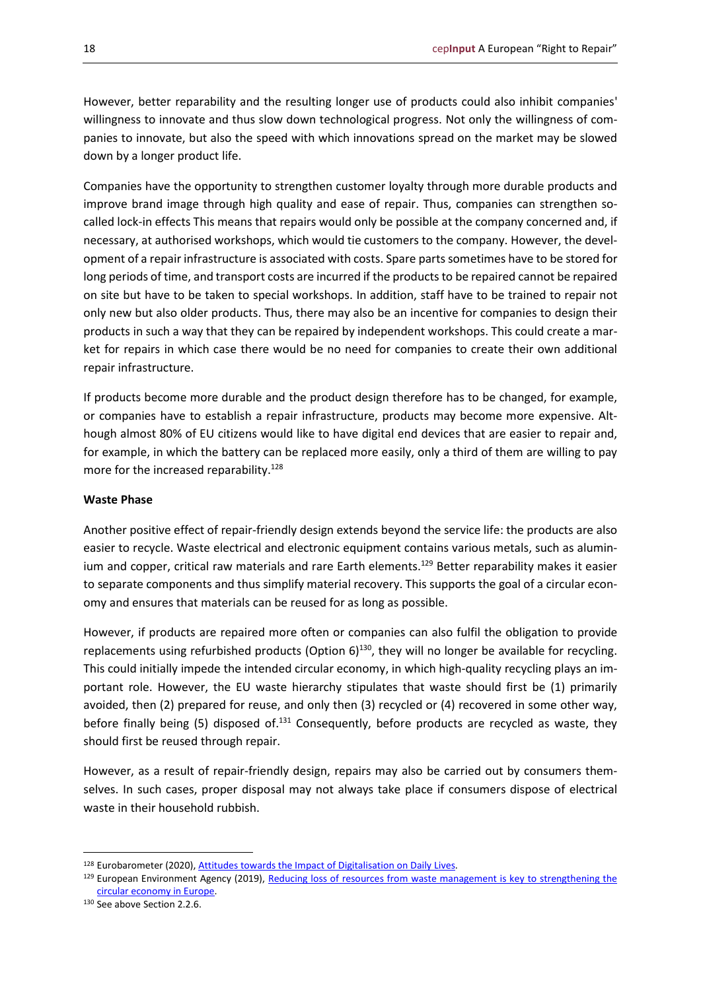However, better reparability and the resulting longer use of products could also inhibit companies' willingness to innovate and thus slow down technological progress. Not only the willingness of companies to innovate, but also the speed with which innovations spread on the market may be slowed down by a longer product life.

Companies have the opportunity to strengthen customer loyalty through more durable products and improve brand image through high quality and ease of repair. Thus, companies can strengthen socalled lock-in effects This means that repairs would only be possible at the company concerned and, if necessary, at authorised workshops, which would tie customers to the company. However, the development of a repair infrastructure is associated with costs. Spare parts sometimes have to be stored for long periods of time, and transport costs are incurred if the products to be repaired cannot be repaired on site but have to be taken to special workshops. In addition, staff have to be trained to repair not only new but also older products. Thus, there may also be an incentive for companies to design their products in such a way that they can be repaired by independent workshops. This could create a market for repairs in which case there would be no need for companies to create their own additional repair infrastructure.

If products become more durable and the product design therefore has to be changed, for example, or companies have to establish a repair infrastructure, products may become more expensive. Although almost 80% of EU citizens would like to have digital end devices that are easier to repair and, for example, in which the battery can be replaced more easily, only a third of them are willing to pay more for the increased reparability.<sup>128</sup>

#### **Waste Phase**

Another positive effect of repair-friendly design extends beyond the service life: the products are also easier to recycle. Waste electrical and electronic equipment contains various metals, such as aluminium and copper, critical raw materials and rare Earth elements.<sup>129</sup> Better reparability makes it easier to separate components and thus simplify material recovery. This supports the goal of a circular economy and ensures that materials can be reused for as long as possible.

However, if products are repaired more often or companies can also fulfil the obligation to provide replacements using refurbished products (Option  $6$ )<sup>130</sup>, they will no longer be available for recycling. This could initially impede the intended circular economy, in which high-quality recycling plays an important role. However, the EU waste hierarchy stipulates that waste should first be (1) primarily avoided, then (2) prepared for reuse, and only then (3) recycled or (4) recovered in some other way, before finally being (5) disposed of.<sup>131</sup> Consequently, before products are recycled as waste, they should first be reused through repair.

However, as a result of repair-friendly design, repairs may also be carried out by consumers themselves. In such cases, proper disposal may not always take place if consumers dispose of electrical waste in their household rubbish.

<sup>128</sup> Eurobarometer (2020), Attitudes towards the Impact of Digitalisation on Daily Lives.

 $129$  European Environment Agency (2019), Reducing loss of resources from waste management is key to strengthening the [circular economy in Europe.](https://www.eea.europa.eu/themes/waste/waste-management/reducing-loss-of-resources-from)

<sup>130</sup> See above Section 2.2.6.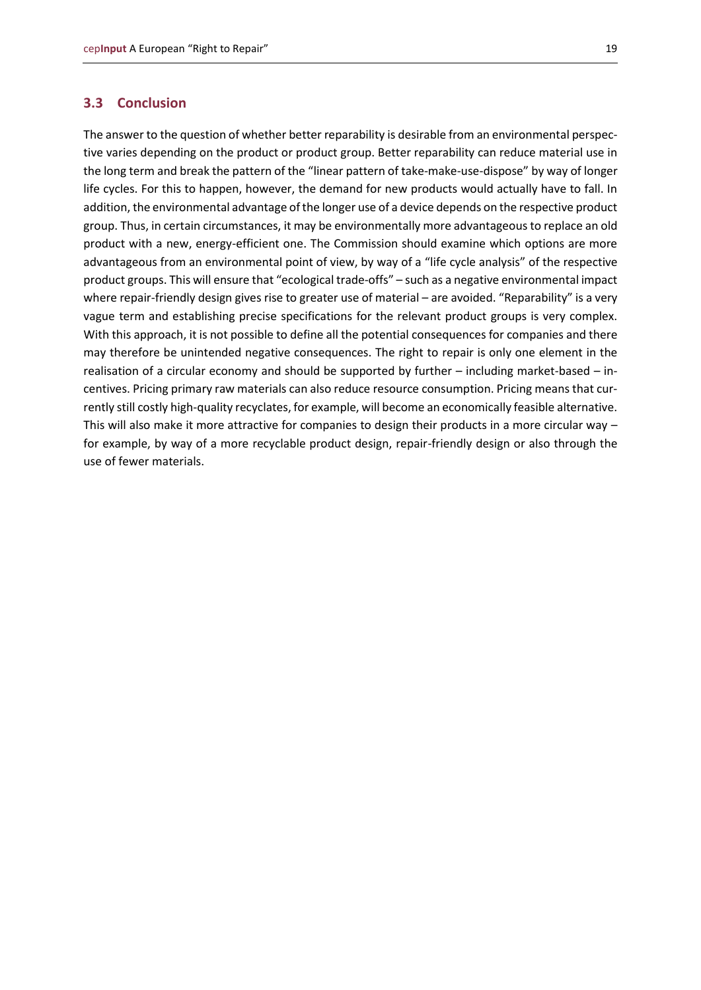#### <span id="page-18-0"></span>**3.3 Conclusion**

The answer to the question of whether better reparability is desirable from an environmental perspective varies depending on the product or product group. Better reparability can reduce material use in the long term and break the pattern of the "linear pattern of take-make-use-dispose" by way of longer life cycles. For this to happen, however, the demand for new products would actually have to fall. In addition, the environmental advantage of the longer use of a device depends on the respective product group. Thus, in certain circumstances, it may be environmentally more advantageous to replace an old product with a new, energy-efficient one. The Commission should examine which options are more advantageous from an environmental point of view, by way of a "life cycle analysis" of the respective product groups. This will ensure that "ecological trade-offs" – such as a negative environmental impact where repair-friendly design gives rise to greater use of material – are avoided. "Reparability" is a very vague term and establishing precise specifications for the relevant product groups is very complex. With this approach, it is not possible to define all the potential consequences for companies and there may therefore be unintended negative consequences. The right to repair is only one element in the realisation of a circular economy and should be supported by further – including market-based – incentives. Pricing primary raw materials can also reduce resource consumption. Pricing means that currently still costly high-quality recyclates, for example, will become an economically feasible alternative. This will also make it more attractive for companies to design their products in a more circular way – for example, by way of a more recyclable product design, repair-friendly design or also through the use of fewer materials.